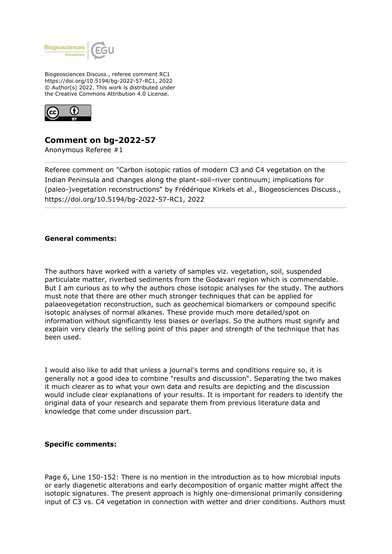

Biogeosciences Discuss., referee comment RC1 https://doi.org/10.5194/bg-2022-57-RC1, 2022 © Author(s) 2022. This work is distributed under the Creative Commons Attribution 4.0 License.



## **Comment on bg-2022-57**

Anonymous Referee #1

Referee comment on "Carbon isotopic ratios of modern C3 and C4 vegetation on the Indian Peninsula and changes along the plant–soil–river continuum; implications for (paleo-)vegetation reconstructions" by Frédérique Kirkels et al., Biogeosciences Discuss., https://doi.org/10.5194/bg-2022-57-RC1, 2022

## **General comments:**

The authors have worked with a variety of samples viz. vegetation, soil, suspended particulate matter, riverbed sediments from the Godavari region which is commendable. But I am curious as to why the authors chose isotopic analyses for the study. The authors must note that there are other much stronger techniques that can be applied for palaeovegetation reconstruction, such as geochemical biomarkers or compound specific isotopic analyses of normal alkanes. These provide much more detailed/spot on information without significantly less biases or overlaps. So the authors must signify and explain very clearly the selling point of this paper and strength of the technique that has been used.

I would also like to add that unless a journal's terms and conditions require so, it is generally not a good idea to combine "results and discussion". Separating the two makes it much clearer as to what your own data and results are depicting and the discussion would include clear explanations of your results. It is important for readers to identify the original data of your research and separate them from previous literature data and knowledge that come under discussion part.

## **Specific comments:**

Page 6, Line 150-152: There is no mention in the introduction as to how microbial inputs or early diagenetic alterations and early decomposition of organic matter might affect the isotopic signatures. The present approach is highly one-dimensional primarily considering input of C3 vs. C4 vegetation in connection with wetter and drier conditions. Authors must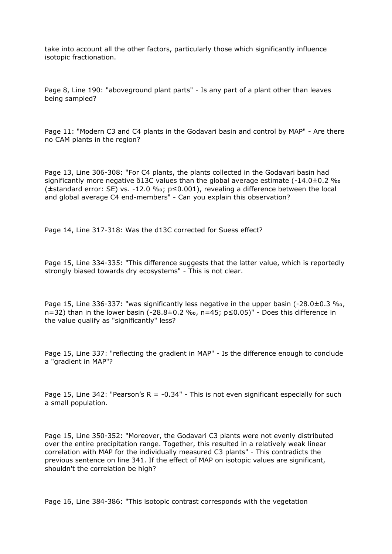take into account all the other factors, particularly those which significantly influence isotopic fractionation.

Page 8, Line 190: "aboveground plant parts" - Is any part of a plant other than leaves being sampled?

Page 11: "Modern C3 and C4 plants in the Godavari basin and control by MAP" - Are there no CAM plants in the region?

Page 13, Line 306-308: "For C4 plants, the plants collected in the Godavari basin had significantly more negative  $\delta$ 13C values than the global average estimate  $(-14.0\pm0.2 \degree \omega_0)$ (±standard error: SE) vs. -12.0 ‰; p≤0.001), revealing a difference between the local and global average C4 end-members" - Can you explain this observation?

Page 14, Line 317-318: Was the d13C corrected for Suess effect?

Page 15, Line 334-335: "This difference suggests that the latter value, which is reportedly strongly biased towards dry ecosystems" - This is not clear.

Page 15, Line 336-337: "was significantly less negative in the upper basin (-28.0±0.3 ‰, n=32) than in the lower basin (-28.8±0.2 ‰, n=45; p≤0.05)" - Does this difference in the value qualify as "significantly" less?

Page 15, Line 337: "reflecting the gradient in MAP" - Is the difference enough to conclude a "gradient in MAP"?

Page 15, Line 342: "Pearson's  $R = -0.34$ " - This is not even significant especially for such a small population.

Page 15, Line 350-352: "Moreover, the Godavari C3 plants were not evenly distributed over the entire precipitation range. Together, this resulted in a relatively weak linear correlation with MAP for the individually measured C3 plants" - This contradicts the previous sentence on line 341. If the effect of MAP on isotopic values are significant, shouldn't the correlation be high?

Page 16, Line 384-386: "This isotopic contrast corresponds with the vegetation